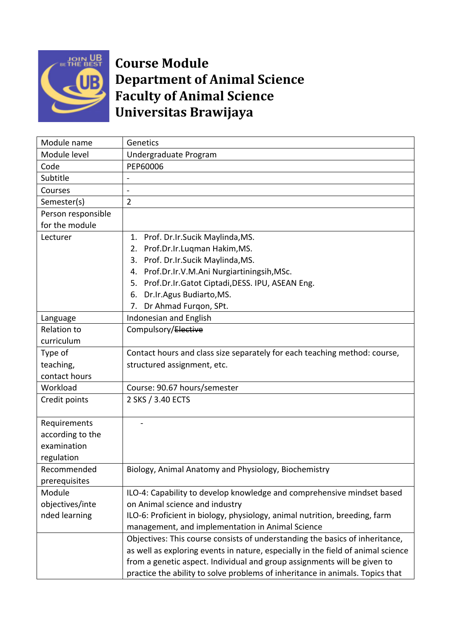

## **Course Module Department of Animal Science Faculty of Animal Science Universitas Brawijaya**

| Module name        | Genetics                                                                         |
|--------------------|----------------------------------------------------------------------------------|
| Module level       | Undergraduate Program                                                            |
| Code               | PEP60006                                                                         |
| Subtitle           |                                                                                  |
| Courses            | $\overline{a}$                                                                   |
| Semester(s)        | $\overline{2}$                                                                   |
| Person responsible |                                                                                  |
| for the module     |                                                                                  |
| Lecturer           | 1. Prof. Dr.Ir.Sucik Maylinda, MS.                                               |
|                    | Prof.Dr.Ir.Luqman Hakim,MS.<br>2.                                                |
|                    | Prof. Dr.Ir.Sucik Maylinda, MS.<br>3.                                            |
|                    | Prof.Dr.Ir.V.M.Ani Nurgiartiningsih, MSc.<br>4.                                  |
|                    | Prof.Dr.Ir.Gatot Ciptadi,DESS. IPU, ASEAN Eng.<br>5.                             |
|                    | Dr.Ir.Agus Budiarto, MS.<br>6.                                                   |
|                    | Dr Ahmad Furgon, SPt.<br>7.                                                      |
| Language           | Indonesian and English                                                           |
| <b>Relation to</b> | Compulsory/Elective                                                              |
| curriculum         |                                                                                  |
| Type of            | Contact hours and class size separately for each teaching method: course,        |
| teaching,          | structured assignment, etc.                                                      |
| contact hours      |                                                                                  |
| Workload           | Course: 90.67 hours/semester                                                     |
| Credit points      | 2 SKS / 3.40 ECTS                                                                |
|                    |                                                                                  |
| Requirements       |                                                                                  |
| according to the   |                                                                                  |
| examination        |                                                                                  |
| regulation         |                                                                                  |
| Recommended        | Biology, Animal Anatomy and Physiology, Biochemistry                             |
| prerequisites      |                                                                                  |
| Module             | ILO-4: Capability to develop knowledge and comprehensive mindset based           |
| objectives/inte    | on Animal science and industry                                                   |
| nded learning      | ILO-6: Proficient in biology, physiology, animal nutrition, breeding, farm       |
|                    | management, and implementation in Animal Science                                 |
|                    | Objectives: This course consists of understanding the basics of inheritance,     |
|                    | as well as exploring events in nature, especially in the field of animal science |
|                    | from a genetic aspect. Individual and group assignments will be given to         |
|                    | practice the ability to solve problems of inheritance in animals. Topics that    |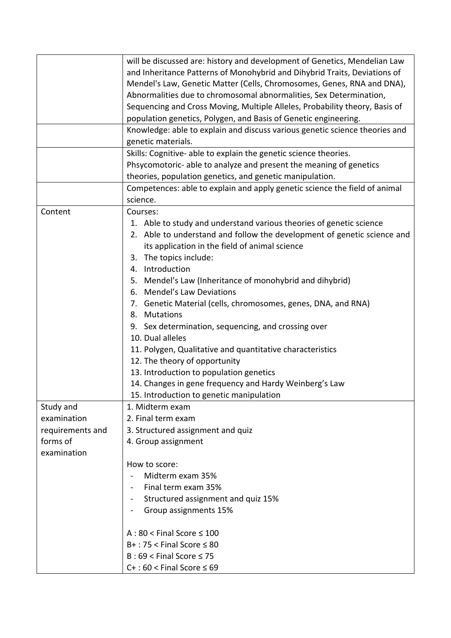|                  | will be discussed are: history and development of Genetics, Mendelian Law   |
|------------------|-----------------------------------------------------------------------------|
|                  | and Inheritance Patterns of Monohybrid and Dihybrid Traits, Deviations of   |
|                  | Mendel's Law, Genetic Matter (Cells, Chromosomes, Genes, RNA and DNA),      |
|                  | Abnormalities due to chromosomal abnormalities, Sex Determination,          |
|                  | Sequencing and Cross Moving, Multiple Alleles, Probability theory, Basis of |
|                  | population genetics, Polygen, and Basis of Genetic engineering.             |
|                  | Knowledge: able to explain and discuss various genetic science theories and |
|                  | genetic materials.                                                          |
|                  | Skills: Cognitive- able to explain the genetic science theories.            |
|                  | Phsycomotoric- able to analyze and present the meaning of genetics          |
|                  | theories, population genetics, and genetic manipulation.                    |
|                  | Competences: able to explain and apply genetic science the field of animal  |
|                  | science.                                                                    |
| Content          | Courses:                                                                    |
|                  | 1. Able to study and understand various theories of genetic science         |
|                  | 2. Able to understand and follow the development of genetic science and     |
|                  | its application in the field of animal science                              |
|                  | 3. The topics include:                                                      |
|                  | 4. Introduction                                                             |
|                  | 5. Mendel's Law (Inheritance of monohybrid and dihybrid)                    |
|                  | <b>Mendel's Law Deviations</b><br>6.                                        |
|                  | 7. Genetic Material (cells, chromosomes, genes, DNA, and RNA)               |
|                  | 8. Mutations                                                                |
|                  | 9. Sex determination, sequencing, and crossing over                         |
|                  | 10. Dual alleles                                                            |
|                  | 11. Polygen, Qualitative and quantitative characteristics                   |
|                  | 12. The theory of opportunity                                               |
|                  | 13. Introduction to population genetics                                     |
|                  | 14. Changes in gene frequency and Hardy Weinberg's Law                      |
|                  | 15. Introduction to genetic manipulation                                    |
| Study and        | 1. Midterm exam                                                             |
| examination      | 2. Final term exam                                                          |
| requirements and | 3. Structured assignment and quiz                                           |
| forms of         | 4. Group assignment                                                         |
| examination      |                                                                             |
|                  | How to score:                                                               |
|                  | Midterm exam 35%                                                            |
|                  | Final term exam 35%<br>$\blacksquare$                                       |
|                  | Structured assignment and quiz 15%                                          |
|                  | Group assignments 15%                                                       |
|                  | $A:80 <$ Final Score $\leq 100$                                             |
|                  | $B+$ : 75 < Final Score $\leq 80$                                           |
|                  |                                                                             |
|                  | $B:69 <$ Final Score $\leq 75$                                              |
|                  | $C+$ : 60 < Final Score $\leq 69$                                           |